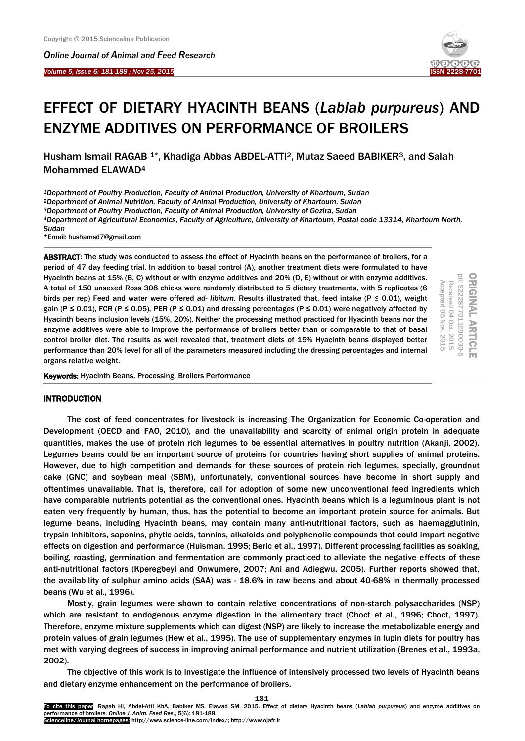I

*Online Journal of A[nimal and](http://www.ojafr.ir/main/) Feed Research Volume 5, Issue 6: 181-188 ; Nov 25, 2015* 



# EFFECT OF DIETARY HYACINTH BEANS (*Lablab purpureus*) AND ENZYME ADDITIVES ON PERFORMANCE OF BROILERS

Husham Ismail RAGAB <sup>1\*</sup>, Khadiga Abbas ABDEL-ATTI<sup>2</sup>, Mutaz Saeed BABIKER<sup>3</sup>, and Salah Mohammed ELAWAD<sup>4</sup>

*<sup>1</sup>Department of Poultry Production, Faculty of Animal Production, University of Khartoum, Sudan <sup>2</sup>Department of Animal Nutrition, Faculty of Animal Production, University of Khartoum, Sudan <sup>3</sup>Department of Poultry Production, Faculty of Animal Production, University of Gezira, Sudan*

*<sup>4</sup>Department of Agricultural Economics, Faculty of Agriculture, University of Khartoum, Postal code 13314, Khartoum North, Sudan*

\*Email: hushamsd7@gmail.com

ABSTRACT: The study was conducted to assess the effect of Hyacinth beans on the performance of broilers, for a period of 47 day feeding trial. In addition to basal control (A), another treatment diets were formulated to have Hyacinth beans at 15% (B, C) without or with enzyme additives and 20% (D, E) without or with enzyme additives. A total of 150 unsexed Ross 308 chicks were randomly distributed to 5 dietary treatments, with 5 replicates (6 birds per rep) Feed and water were offered *ad- libitum.* Results illustrated that, feed intake (P ≤ 0.01), weight gain (P  $\leq$  0.01), FCR (P  $\leq$  0.05), PER (P  $\leq$  0.01) and dressing percentages (P  $\leq$  0.01) were negatively affected by Hyacinth beans inclusion levels (15%, 20%). Neither the processing method practiced for Hyacinth beans nor the enzyme additives were able to improve the performance of broilers better than or comparable to that of basal control broiler diet. The results as well revealed that, treatment diets of 15% Hyacinth beans displayed better performance than 20% level for all of the parameters measured including the dressing percentages and internal organs relative weight.



Keywords: Hyacinth Beans, Processing, Broilers Performance

# INTRODUCTION

The cost of feed concentrates for livestock is increasing The Organization for Economic Co-operation and Development (OECD and FAO, 2010), and the unavailability and scarcity of animal origin protein in adequate quantities, makes the use of protein rich legumes to be essential alternatives in poultry nutrition (Akanji, 2002). Legumes beans could be an important source of proteins for countries having short supplies of animal proteins. However, due to high competition and demands for these sources of protein rich legumes, specially, groundnut cake (GNC) and soybean meal (SBM), unfortunately, conventional sources have become in short supply and oftentimes unavailable. That is, therefore, call for adoption of some new unconventional feed ingredients which have comparable nutrients potential as the conventional ones. Hyacinth beans which is a leguminous plant is not eaten very frequently by human, thus, has the potential to become an important protein source for animals. But legume beans, including Hyacinth beans, may contain many anti-nutritional factors, such as haemagglutinin, trypsin inhibitors, saponins, phytic acids, tannins, alkaloids and polyphenolic compounds that could impart negative effects on digestion and performance (Huisman, 1995; Beric et al., 1997). Different processing facilities as soaking, boiling, roasting, germination and fermentation are commonly practiced to alleviate the negative effects of these anti-nutritional factors (Kperegbeyi and Onwumere, 2007; Ani and Adiegwu, 2005). Further reports showed that, the availability of sulphur amino acids (SAA) was - 18.6% in raw beans and about 40-68% in thermally processed beans (Wu et al., 1996).

Mostly, grain legumes were shown to contain relative concentrations of non-starch polysaccharides (NSP) which are resistant to endogenous enzyme digestion in the alimentary tract (Choct et al., 1996; Choct, 1997). Therefore, enzyme mixture supplements which can digest (NSP) are likely to increase the metabolizable energy and protein values of grain legumes (Hew et al., 1995). The use of supplementary enzymes in lupin diets for poultry has met with varying degrees of success in improving animal performance and nutrient utilization (Brenes et al., 1993a, 2002).

The objective of this work is to investigate the influence of intensively processed two levels of Hyacinth beans and dietary enzyme enhancement on the performance of broilers.

181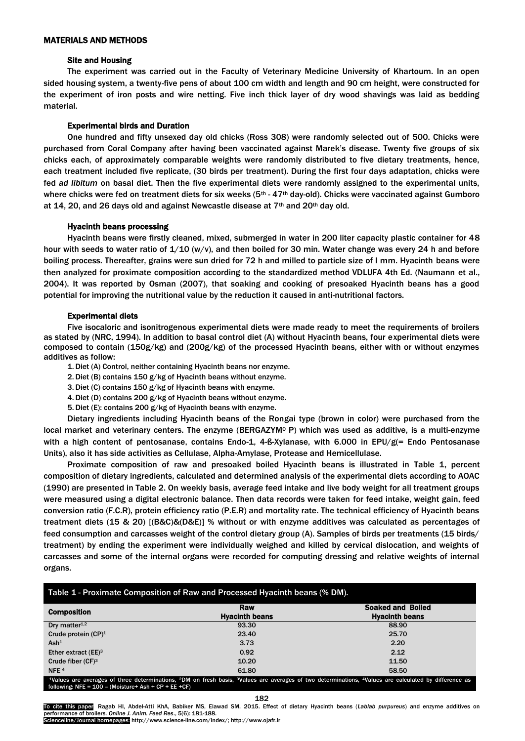#### MATERIALS AND METHODS

#### Site and Housing

The experiment was carried out in the Faculty of Veterinary Medicine University of Khartoum. In an open sided housing system, a twenty-five pens of about 100 cm width and length and 90 cm height, were constructed for the experiment of iron posts and wire netting. Five inch thick layer of dry wood shavings was laid as bedding material.

#### Experimental birds and Duration

One hundred and fifty unsexed day old chicks (Ross 308) were randomly selected out of 500. Chicks were purchased from Coral Company after having been vaccinated against Marek's disease. Twenty five groups of six chicks each, of approximately comparable weights were randomly distributed to five dietary treatments, hence, each treatment included five replicate, (30 birds per treatment). During the first four days adaptation, chicks were fed *ad libitum* on basal diet. Then the five experimental diets were randomly assigned to the experimental units, where chicks were fed on treatment diets for six weeks (5<sup>th</sup> - 47<sup>th</sup> day-old). Chicks were vaccinated against Gumboro at 14, 20, and 26 days old and against Newcastle disease at  $7<sup>th</sup>$  and  $20<sup>th</sup>$  day old.

#### Hyacinth beans processing

Hyacinth beans were firstly cleaned, mixed, submerged in water in 200 liter capacity plastic container for 48 hour with seeds to water ratio of  $1/10$  (w/v), and then boiled for 30 min. Water change was every 24 h and before boiling process. Thereafter, grains were sun dried for 72 h and milled to particle size of I mm. Hyacinth beans were then analyzed for proximate composition according to the standardized method VDLUFA 4th Ed. (Naumann et al., 2004). It was reported by Osman (2007), that soaking and cooking of presoaked Hyacinth beans has a good potential for improving the nutritional value by the reduction it caused in anti-nutritional factors.

#### Experimental diets

Five isocaloric and isonitrogenous experimental diets were made ready to meet the requirements of broilers as stated by (NRC, 1994). In addition to basal control diet (A) without Hyacinth beans, four experimental diets were composed to contain (150g/kg) and (200g/kg) of the processed Hyacinth beans, either with or without enzymes additives as follow:

1. Diet (A) Control, neither containing Hyacinth beans nor enzyme.

- 2. Diet (B) contains 150 g/kg of Hyacinth beans without enzyme.
- 3. Diet (C) contains 150 g/kg of Hyacinth beans with enzyme.
- 4. Diet (D) contains 200 g/kg of Hyacinth beans without enzyme.
- 5. Diet (E): contains 200 g/kg of Hyacinth beans with enzyme.

Dietary ingredients including Hyacinth beans of the Rongai type (brown in color) were purchased from the local market and veterinary centers. The enzyme (BERGAZYM<sup>o</sup> P) which was used as additive, is a multi-enzyme with a high content of pentosanase, contains Endo-1, 4-ß-Xylanase, with 6.000 in EPU/ $g$ (= Endo Pentosanase Units), also it has side activities as Cellulase, Alpha-Amylase, Protease and Hemicellulase.

Proximate composition of raw and presoaked boiled Hyacinth beans is illustrated in Table 1, percent composition of dietary ingredients, calculated and determined analysis of the experimental diets according to AOAC (1990) are presented in Table 2. On weekly basis, average feed intake and live body weight for all treatment groups were measured using a digital electronic balance. Then data records were taken for feed intake, weight gain, feed conversion ratio (F.C.R), protein efficiency ratio (P.E.R) and mortality rate. The technical efficiency of Hyacinth beans treatment diets (15 & 20) [(B&C)&(D&E)] % without or with enzyme additives was calculated as percentages of feed consumption and carcasses weight of the control dietary group (A). Samples of birds per treatments (15 birds/ treatment) by ending the experiment were individually weighed and killed by cervical dislocation, and weights of carcasses and some of the internal organs were recorded for computing dressing and relative weights of internal organs.

|                                                                                                                                                                                                                                                                   | Raw                   | <b>Soaked and Boiled</b> |  |  |  |
|-------------------------------------------------------------------------------------------------------------------------------------------------------------------------------------------------------------------------------------------------------------------|-----------------------|--------------------------|--|--|--|
| <b>Composition</b>                                                                                                                                                                                                                                                | <b>Hyacinth beans</b> | <b>Hyacinth beans</b>    |  |  |  |
| Dry matter $4,2$                                                                                                                                                                                                                                                  | 93.30                 | 88.90                    |  |  |  |
| Crude protein $(CP)^1$                                                                                                                                                                                                                                            | 23.40                 | 25.70                    |  |  |  |
| Ash <sup>1</sup>                                                                                                                                                                                                                                                  | 3.73                  | 2.20                     |  |  |  |
| Ether extract $(EE)^3$                                                                                                                                                                                                                                            | 0.92                  | 2.12                     |  |  |  |
| Crude fiber $(CF)^3$                                                                                                                                                                                                                                              | 10.20                 | 11.50                    |  |  |  |
| NFE <sup>4</sup>                                                                                                                                                                                                                                                  | 61.80                 | 58.50                    |  |  |  |
| <sup>1</sup> Values are averages of three determinations, <sup>2</sup> DM on fresh basis, <sup>3</sup> Values are averages of two determinations, <sup>4</sup> Values are calculated by difference as<br>following: NFE = $100 - (Mojsture + Ash + CP + EE + CF)$ |                       |                          |  |  |  |

182

To cite this paper Ragab HI, Abdel-Atti KhA, Babiker MS, Elawad SM. 2015. Effect of dietary Hyacinth beans (Lablab purpureus) and enzyme additives on performance of broilers. *Online J. Anim. Feed Res*., 5(6): 181-188.

Scienceline/Journal homepages: http://www.science-line.com/index/; http://www.ojafr.ir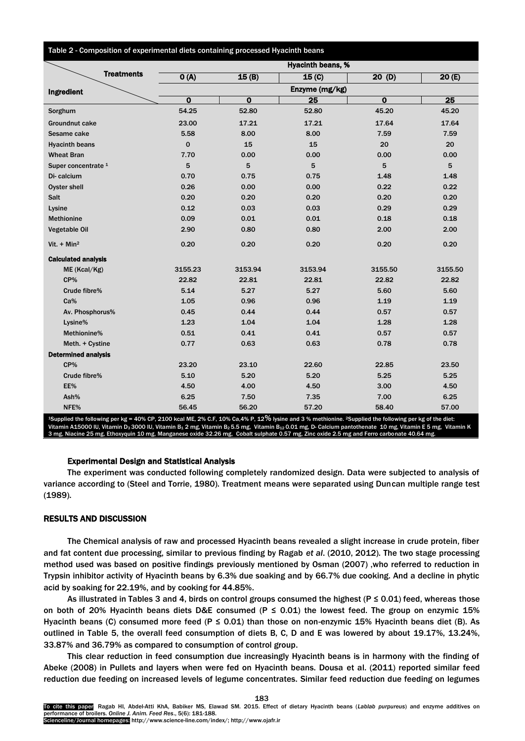| Table 2 - Composition of experimental diets containing processed Hyacinth beans |                          |                                                                               |                           |                         |         |  |  |
|---------------------------------------------------------------------------------|--------------------------|-------------------------------------------------------------------------------|---------------------------|-------------------------|---------|--|--|
|                                                                                 | <b>Hyacinth beans, %</b> |                                                                               |                           |                         |         |  |  |
| <b>Treatments</b>                                                               | 0(A)                     | 15(B)                                                                         | 15(0)                     | 20(D)                   | 20(E)   |  |  |
| Ingredient                                                                      | Enzyme (mg/kg)           |                                                                               |                           |                         |         |  |  |
|                                                                                 | 0                        | $\mathbf 0$                                                                   | $\overline{25}$           | $\overline{\mathbf{0}}$ | 25      |  |  |
| Sorghum                                                                         | 54.25                    | 52.80                                                                         | 52.80                     | 45.20                   | 45.20   |  |  |
| <b>Groundnut cake</b>                                                           | 23.00                    | 17.21                                                                         | 17.21                     | 17.64                   | 17.64   |  |  |
| Sesame cake                                                                     | 5.58                     | 8.00                                                                          | 8.00                      | 7.59                    | 7.59    |  |  |
| <b>Hyacinth beans</b>                                                           | $\mathbf 0$              | 15                                                                            | 15                        | 20                      | 20      |  |  |
| <b>Wheat Bran</b>                                                               | 7.70                     | 0.00                                                                          | 0.00                      | 0.00                    | 0.00    |  |  |
| Super concentrate 1                                                             | 5                        | 5                                                                             | 5                         | 5                       | 5       |  |  |
| Di-calcium                                                                      | 0.70                     | 0.75                                                                          | 0.75                      | 1.48                    | 1.48    |  |  |
| Oyster shell                                                                    | 0.26                     | 0.00                                                                          | 0.00                      | 0.22                    | 0.22    |  |  |
| Salt                                                                            | 0.20                     | 0.20                                                                          | 0.20                      | 0.20                    | 0.20    |  |  |
| Lysine                                                                          | 0.12                     | 0.03                                                                          | 0.03                      | 0.29                    | 0.29    |  |  |
| <b>Methionine</b>                                                               | 0.09                     | 0.01                                                                          | 0.01                      | 0.18                    | 0.18    |  |  |
| Vegetable Oil                                                                   | 2.90                     | 0.80                                                                          | 0.80                      | 2.00                    | 2.00    |  |  |
| Vit. $+$ Min <sup>2</sup>                                                       | 0.20                     | 0.20                                                                          | 0.20                      | 0.20                    | 0.20    |  |  |
| <b>Calculated analysis</b>                                                      |                          |                                                                               |                           |                         |         |  |  |
| ME (Kcal/Kg)                                                                    | 3155.23                  | 3153.94                                                                       | 3153.94                   | 3155.50                 | 3155.50 |  |  |
| CP%                                                                             | 22.82                    | 22.81                                                                         | 22.81                     | 22.82                   | 22.82   |  |  |
| Crude fibre%                                                                    | 5.14                     | 5.27                                                                          | 5.27                      | 5.60                    | 5.60    |  |  |
| Ca%                                                                             | 1.05                     | 0.96                                                                          | 0.96                      | 1.19                    | 1.19    |  |  |
| Av. Phosphorus%                                                                 | 0.45                     | 0.44                                                                          | 0.44                      | 0.57                    | 0.57    |  |  |
| Lysine%                                                                         | 1.23                     | 1.04                                                                          | 1.04                      | 1.28                    | 1.28    |  |  |
| Methionine%                                                                     | 0.51                     | 0.41                                                                          | 0.41                      | 0.57                    | 0.57    |  |  |
| Meth. + Cystine                                                                 | 0.77                     | 0.63                                                                          | 0.63                      | 0.78                    | 0.78    |  |  |
| <b>Determined analysis</b>                                                      |                          |                                                                               |                           |                         |         |  |  |
| CP%                                                                             | 23.20                    | 23.10                                                                         | 22.60                     | 22.85                   | 23.50   |  |  |
| Crude fibre%                                                                    | 5.10                     | 5.20                                                                          | 5.20                      | 5.25                    | 5.25    |  |  |
| EE%                                                                             | 4.50                     | 4.00                                                                          | 4.50                      | 3.00                    | 4.50    |  |  |
| Ash%                                                                            | 6.25                     | 7.50                                                                          | 7.35                      | 7.00                    | 6.25    |  |  |
| NFE%<br>معشيره المقيم طغلمها ومناوره                                            | 56.45                    | 56.20<br>$2400 \text{ kg}$ ME $2\%$ CE $40\%$ C <sub>2</sub> $4\%$ D $42\%$ b | 57.20<br>000 <sub>h</sub> | 58.40                   | 57.00   |  |  |

<sup>1</sup>Supplied the following per kg = 40% CP, 2100 kcal ME, 2% C.F, 10% Ca,4% P, 12% lysine and 3 % methionine. <sup>2</sup>Supplied the following per kg of the diet: Vitamin A15000 IU, Vitamin D3 3000 IU, Vitamin B1 2 mg, Vitamin B2 5.5 mg, Vitamin B12 0.01 mg, D- Calcium pantothenate 10 mg, Vitamin E 5 mg, Vitamin K 3 mg, Niacine 25 mg, Ethoxyquin 10 mg, Manganese oxide 32.26 mg, Cobalt sulphate 0.57 mg, Zinc oxide 2.5 mg and Ferro carbonate 40.64 mg.

#### Experimental Design and Statistical Analysis

The experiment was conducted following completely randomized design. Data were subjected to analysis of variance according to (Steel and Torrie, 1980). Treatment means were separated using Duncan multiple range test (1989).

# RESULTS AND DISCUSSION

The Chemical analysis of raw and processed Hyacinth beans revealed a slight increase in crude protein, fiber and fat content due processing, similar to previous finding by Ragab *et al*. (2010, 2012). The two stage processing method used was based on positive findings previously mentioned by Osman (2007) ,who referred to reduction in Trypsin inhibitor activity of Hyacinth beans by 6.3% due soaking and by 66.7% due cooking. And a decline in phytic acid by soaking for 22.19%, and by cooking for 44.85%.

As illustrated in Tables 3 and 4, birds on control groups consumed the highest ( $P \le 0.01$ ) feed, whereas those on both of 20% Hyacinth beans diets D&E consumed (P  $\leq$  0.01) the lowest feed. The group on enzymic 15% Hyacinth beans (C) consumed more feed (P  $\leq$  0.01) than those on non-enzymic 15% Hyacinth beans diet (B). As outlined in Table 5, the overall feed consumption of diets B, C, D and E was lowered by about 19.17%, 13.24%, 33.87% and 36.79% as compared to consumption of control group.

This clear reduction in feed consumption due increasingly Hyacinth beans is in harmony with the finding of Abeke (2008) in Pullets and layers when were fed on Hyacinth beans. Dousa et al. (2011) reported similar feed reduction due feeding on increased levels of legume concentrates. Similar feed reduction due feeding on legumes

To cite this paper: Ragab HI, Abdel-Atti KhA, Babiker MS, Elawad SM. 2015. Effect of dietary Hyacinth beans (*Lablab purpureus*) and enzyme additives on performance of broilers. *Online J. Anim. Feed Res*., 5(6): 181-188. Scienceline/Journal homepages: http://www.science-line.com/index/; http://www.ojafr.ir

183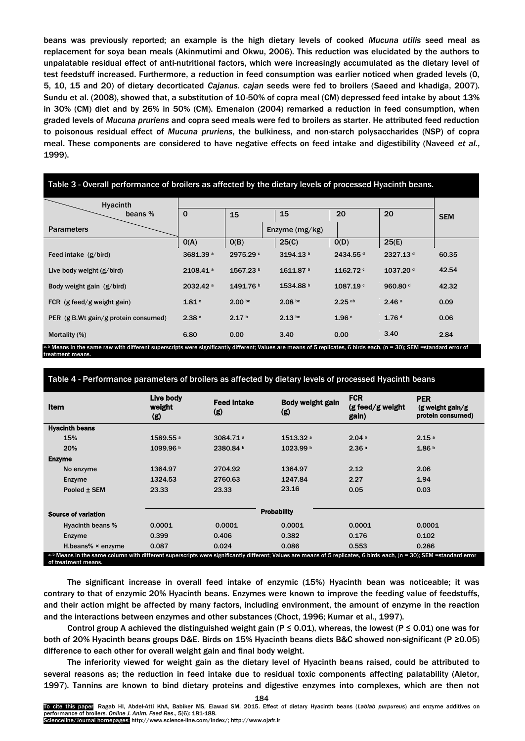beans was previously reported; an example is the high dietary levels of cooked *Mucuna utilis* seed meal as replacement for soya bean meals (Akinmutimi and Okwu, 2006). This reduction was elucidated by the authors to unpalatable residual effect of anti-nutritional factors, which were increasingly accumulated as the dietary level of test feedstuff increased. Furthermore, a reduction in feed consumption was earlier noticed when graded levels (0, 5, 10, 15 and 20) of dietary decorticated *Cajanus. cajan* seeds were fed to broilers (Saeed and khadiga, 2007). Sundu et al. (2008), showed that, a substitution of 10-50% of copra meal (CM) depressed feed intake by about 13% in 30% (CM) diet and by 26% in 50% (CM). Emenalon (2004) remarked a reduction in feed consumption, when graded levels of *Mucuna pruriens* and copra seed meals were fed to broilers as starter. He attributed feed reduction to poisonous residual effect of *Mucuna pruriens*, the bulkiness, and non-starch polysaccharides (NSP) of copra meal. These components are considered to have negative effects on feed intake and digestibility (Naveed *et al.*, 1999).

# Table 3 - Overall performance of broilers as affected by the dietary levels of processed Hyacinth beans. Hyacinth beans % Parameters 0 | 15 | 15 | 20 | 20 | SEM Enzyme (mg/kg)  $0(A)$   $0(B)$   $25(C)$   $0(D)$   $25(E)$ Feed intake (g/bird) 3681.39<sup>a</sup> 2975.29<sup>c</sup> 3194.13<sup>b</sup> 2434.55<sup>d</sup> 2327.13<sup>d</sup> 60.35 Live body weight (g/bird) 2108.41<sup>a</sup> 1567.23<sup>b</sup> 1611.87<sup>b</sup> 1162.72<sup>c</sup> 1037.20<sup>d</sup> 42.54 Body weight gain (g/bird) 2032.42 a 1491.76 b 1534.88 b 1087.19 c 960.80 d 42.32 FCR (g feed/g weight gain)  $1.81 \cdot 2.00 \cdot 2.08 \cdot 2.25 \cdot 2.25 \cdot 2.46 \cdot 2.46 \cdot 2.46 \cdot 2.46 \cdot 2.46 \cdot 2.46 \cdot 2.46 \cdot 2.46 \cdot 2.46 \cdot 2.46 \cdot 2.46 \cdot 2.46 \cdot 2.46 \cdot 2.46 \cdot 2.46 \cdot 2.46 \cdot 2.46 \cdot 2.46 \cdot 2.46 \cdot 2.46 \cdot 2.46 \cdot 2.46 \cdot 2.46$ PER (g B.Wt gain/g protein consumed)  $2.38^{\circ}$   $2.17^{\circ}$   $2.13^{\circ}$   $1.96^{\circ}$   $1.76^{\circ}$  0.06 Mortality (%) 6.80 0.00 3.40 0.00 3.40 2.84 Means in the same raw with different superscripts were significantly different; Values are means of 5 replicates, 6 birds each, (n = 30); SEM =standard error of eatment means

# Table 4 - Performance parameters of broilers as affected by dietary levels of processed Hyacinth beans

| Item                                                                                                                                                                                        | Live body<br>weight<br>(g) | <b>Feed intake</b><br>(g) | <b>Body weight gain</b><br>(g) | <b>FCR</b><br>(g feed/g weight<br>gain) | <b>PER</b><br>$(g$ weight gain/g<br>protein consumed) |  |  |
|---------------------------------------------------------------------------------------------------------------------------------------------------------------------------------------------|----------------------------|---------------------------|--------------------------------|-----------------------------------------|-------------------------------------------------------|--|--|
| <b>Hyacinth beans</b>                                                                                                                                                                       |                            |                           |                                |                                         |                                                       |  |  |
| 15%                                                                                                                                                                                         | 1589.55 <sup>a</sup>       | $3084.71$ <sup>a</sup>    | $1513.32$ <sup>a</sup>         | 2.04 <sup>b</sup>                       | 2.15 <sup>a</sup>                                     |  |  |
| 20%                                                                                                                                                                                         | 1099.96 b                  | 2380.84 b                 | 1023.99 b                      | 2.36a                                   | 1.86 <sup>b</sup>                                     |  |  |
| <b>Enzyme</b>                                                                                                                                                                               |                            |                           |                                |                                         |                                                       |  |  |
| No enzyme                                                                                                                                                                                   | 1364.97                    | 2704.92                   | 1364.97                        | 2.12                                    | 2.06                                                  |  |  |
| Enzyme                                                                                                                                                                                      | 1324.53                    | 2760.63                   | 1247.84                        | 2.27                                    | 1.94                                                  |  |  |
| Pooled ± SEM                                                                                                                                                                                | 23.33                      | 23.33                     | 23.16                          | 0.05                                    | 0.03                                                  |  |  |
| <b>Probability</b><br>Source of variation                                                                                                                                                   |                            |                           |                                |                                         |                                                       |  |  |
| Hyacinth beans %                                                                                                                                                                            | 0.0001                     | 0.0001                    | 0.0001                         | 0.0001                                  | 0.0001                                                |  |  |
| Enzyme                                                                                                                                                                                      | 0.399                      | 0.406                     | 0.382                          | 0.176                                   | 0.102                                                 |  |  |
| H.beans% $\times$ enzyme                                                                                                                                                                    | 0.087                      | 0.024                     | 0.086                          | 0.553                                   | 0.286                                                 |  |  |
| a.b Means in the same column with different superscripts were significantly different; Values are means of 5 replicates, 6 birds each, (n = 30); SEM =standard error<br>of treatment means. |                            |                           |                                |                                         |                                                       |  |  |

The significant increase in overall feed intake of enzymic (15%) Hyacinth bean was noticeable; it was contrary to that of enzymic 20% Hyacinth beans*.* Enzymes were known to improve the feeding value of feedstuffs, and their action might be affected by many factors, including environment, the amount of enzyme in the reaction and the interactions between enzymes and other substances (Choct, 1996; Kumar et al., 1997).

Control group A achieved the distinguished weight gain (P  $\leq$  0.01), whereas, the lowest (P  $\leq$  0.01) one was for both of 20% Hyacinth beans groups D&E. Birds on 15% Hyacinth beans diets B&C showed non-significant (P ≥0.05) difference to each other for overall weight gain and final body weight.

The inferiority viewed for weight gain as the dietary level of Hyacinth beans raised, could be attributed to several reasons as; the reduction in feed intake due to residual toxic components affecting palatability (Aletor, 1997). Tannins are known to bind dietary proteins and digestive enzymes into complexes, which are then not

184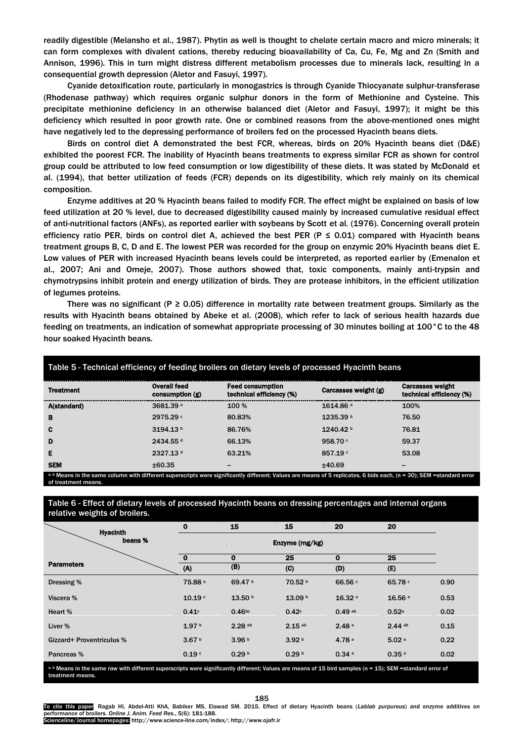readily digestible (Melansho et al., 1987). Phytin as well is thought to chelate certain macro and micro minerals; it can form complexes with divalent cations, thereby reducing bioavailability of Ca, Cu, Fe, Mg and Zn (Smith and Annison, 1996). This in turn might distress different metabolism processes due to minerals lack, resulting in a consequential growth depression (Aletor and Fasuyi, 1997).

Cyanide detoxification route, particularly in monogastrics is through Cyanide Thiocyanate sulphur-transferase (Rhodenase pathway) which requires organic sulphur donors in the form of Methionine and Cysteine. This precipitate methionine deficiency in an otherwise balanced diet (Aletor and Fasuyi, 1997); it might be this deficiency which resulted in poor growth rate. One or combined reasons from the above-mentioned ones might have negatively led to the depressing performance of broilers fed on the processed Hyacinth beans diets.

Birds on control diet A demonstrated the best FCR, whereas, birds on 20% Hyacinth beans diet (D&E) exhibited the poorest FCR. The inability of Hyacinth beans treatments to express similar FCR as shown for control group could be attributed to low feed consumption or low digestibility of these diets. It was stated by McDonald et al. (1994), that better utilization of feeds (FCR) depends on its digestibility, which rely mainly on its chemical composition.

Enzyme additives at 20 % Hyacinth beans failed to modify FCR. The effect might be explained on basis of low feed utilization at 20 % level, due to decreased digestibility caused mainly by increased cumulative residual effect of anti-nutritional factors (ANFs), as reported earlier with soybeans by Scott et al*.* (1976). Concerning overall protein efficiency ratio PER, birds on control diet A, achieved the best PER (P  $\leq$  0.01) compared with Hyacinth beans treatment groups B, C, D and E. The lowest PER was recorded for the group on enzymic 20% Hyacinth beans diet E. Low values of PER with increased Hyacinth beans levels could be interpreted, as reported earlier by (Emenalon et al., 2007; Ani and Omeje, 2007). Those authors showed that, toxic components, mainly anti-trypsin and chymotrypsins inhibit protein and energy utilization of birds. They are protease inhibitors, in the efficient utilization of legumes proteins.

There was no significant (P  $\geq$  0.05) difference in mortality rate between treatment groups. Similarly as the results with Hyacinth beans obtained by Abeke et al. (2008), which refer to lack of serious health hazards due feeding on treatments, an indication of somewhat appropriate processing of 30 minutes boiling at 100°C to the 48 hour soaked Hyacinth beans.

| Table 5 - Technical efficiency of feeding broilers on dietary levels of processed Hyacinth beans                                                                      |                                          |                                                     |                      |                                                     |  |  |  |
|-----------------------------------------------------------------------------------------------------------------------------------------------------------------------|------------------------------------------|-----------------------------------------------------|----------------------|-----------------------------------------------------|--|--|--|
| <b>Treatment</b>                                                                                                                                                      | <b>Overall feed</b><br>consumption $(g)$ | <b>Feed consumption</b><br>technical efficiency (%) | Carcasses weight (g) | <b>Carcasses weight</b><br>technical efficiency (%) |  |  |  |
| A(standard)                                                                                                                                                           | 3681.39 <sup>a</sup>                     | 100 %                                               | 1614.86 a            | 100%                                                |  |  |  |
| B                                                                                                                                                                     | 2975.29 c                                | 80.83%                                              | 1235.39 b            | 76.50                                               |  |  |  |
| C                                                                                                                                                                     | 3194.13b                                 | 86.76%                                              | 1240.42 b            | 76.81                                               |  |  |  |
| D                                                                                                                                                                     | 2434.55 d                                | 66.13%                                              | 958.70 $c$           | 59.37                                               |  |  |  |
| Е                                                                                                                                                                     | 2327.13 d                                | 63.21%                                              | 857.19c              | 53.08                                               |  |  |  |
| <b>SEM</b>                                                                                                                                                            | ±60.35                                   |                                                     | ±40.69               |                                                     |  |  |  |
| a, b Means in the same column with different superscripts were significantly different; Values are means of 5 replicates, 6 bids each, (n = 30); SEM = standard error |                                          |                                                     |                      |                                                     |  |  |  |

of treatment means.

Table 6 - Effect of dietary levels of processed Hyacinth beans on dressing percentages and internal organs relative weights of broilers.

| <b>Hyacinth</b>           | $\mathbf 0$        | 15                 | 15                 | 20                 | 20                |      |
|---------------------------|--------------------|--------------------|--------------------|--------------------|-------------------|------|
| beans %                   |                    |                    | Enzyme (mg/kg)     |                    |                   |      |
|                           | $\mathbf{o}$       | $\mathbf 0$        | 25                 | $\mathbf 0$        | 25                |      |
| <b>Parameters</b>         | (A)                | (B)                | (C)                | (D)                | (E)               |      |
| Dressing %                | 75.88 <sup>a</sup> | 69.47 <sup>b</sup> | 70.52 b            | 66.56 c            | 65.78 °           | 0.90 |
| Viscera %                 | 10.19 °            | 13.50 <sup>b</sup> | 13.09 <sup>b</sup> | 16.32 <sup>a</sup> | 16.56a            | 0.53 |
| Heart %                   | 0.41c              | 0.46 <sub>bc</sub> | 0.42c              | 0.49a              | 0.52a             | 0.02 |
| Liver %                   | 1.97 <sup>b</sup>  | $2.28$ ab          | $2.15$ ab          | 2.48a              | $2.44$ ab         | 0.15 |
| Gizzard+ Proventriculus % | 3.67 <sup>b</sup>  | 3.96 <sup>b</sup>  | 3.92 <sup>b</sup>  | 4.78 <sup>a</sup>  | 5.02a             | 0.22 |
| Pancreas %                | 0.19 <sup>c</sup>  | 0.29 <sup>b</sup>  | 0.29 <sup>b</sup>  | 0.34a              | 0.35 <sup>a</sup> | 0.02 |

 $^{\text{a,b}}$  Means in the same raw with different superscripts were significantly different; Values are means of 15 bird samples (n = 15); SEM =standard error of treatment means.

185

To cite this paper Ragab HI, Abdel-Atti KhA, Babiker MS, Elawad SM. 2015. Effect of dietary Hyacinth beans (Lablab purpureus) and enzyme additives on performance of broilers. *Online J. Anim. Feed Res*., 5(6): 181-188. Scienceline/Journal homepages: http://www.science-line.com/index/; http://www.ojafr.ir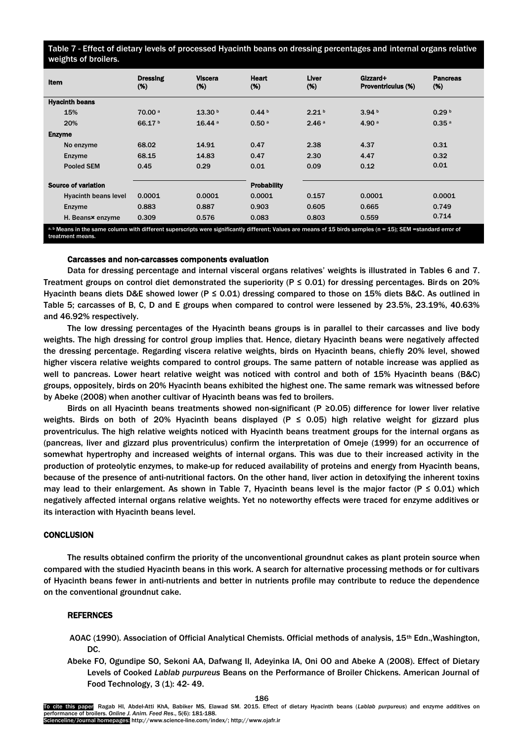Table 7 - Effect of dietary levels of processed Hyacinth beans on dressing percentages and internal organs relative weights of broilers.

| Item                  |                                                                                                                                                               | <b>Dressing</b><br>(%) | <b>Viscera</b><br>(%) | Heart<br>(%)       | Liver<br>(%)      | Gizzard+<br><b>Proventriculus (%)</b> | <b>Pancreas</b><br>(%) |  |
|-----------------------|---------------------------------------------------------------------------------------------------------------------------------------------------------------|------------------------|-----------------------|--------------------|-------------------|---------------------------------------|------------------------|--|
| <b>Hyacinth beans</b> |                                                                                                                                                               |                        |                       |                    |                   |                                       |                        |  |
|                       | 15%                                                                                                                                                           | 70.00a                 | 13.30 <sup>b</sup>    | 0.44 <sup>b</sup>  | 2.21 <sup>b</sup> | 3.94 <sup>b</sup>                     | 0.29 <sup>b</sup>      |  |
|                       | 20%                                                                                                                                                           | 66.17 <sup>b</sup>     | 16.44a                | 0.50 <sup>a</sup>  | 2.46a             | 4.90 <sup>a</sup>                     | 0.35 <sup>a</sup>      |  |
| <b>Enzyme</b>         |                                                                                                                                                               |                        |                       |                    |                   |                                       |                        |  |
|                       | No enzyme                                                                                                                                                     | 68.02                  | 14.91                 | 0.47               | 2.38              | 4.37                                  | 0.31                   |  |
|                       | <b>Enzyme</b>                                                                                                                                                 | 68.15                  | 14.83                 | 0.47               | 2.30              | 4.47                                  | 0.32                   |  |
|                       | <b>Pooled SEM</b>                                                                                                                                             | 0.45                   | 0.29                  | 0.01               | 0.09              | 0.12                                  | 0.01                   |  |
|                       | Source of variation                                                                                                                                           |                        |                       | <b>Probability</b> |                   |                                       |                        |  |
|                       | Hyacinth beans level                                                                                                                                          | 0.0001                 | 0.0001                | 0.0001             | 0.157             | 0.0001                                | 0.0001                 |  |
|                       | <b>Enzyme</b>                                                                                                                                                 | 0.883                  | 0.887                 | 0.903              | 0.605             | 0.665                                 | 0.749                  |  |
|                       | H. Beans* enzyme                                                                                                                                              | 0.309                  | 0.576                 | 0.083              | 0.803             | 0.559                                 | 0.714                  |  |
|                       | a, b Means in the same column with different superscripts were significantly different; Values are means of 15 birds samples (n = 15); SEM =standard error of |                        |                       |                    |                   |                                       |                        |  |

treatment means.

# Carcasses and non-carcasses components evaluation

Data for dressing percentage and internal visceral organs relatives' weights is illustrated in Tables 6 and 7. Treatment groups on control diet demonstrated the superiority ( $P \le 0.01$ ) for dressing percentages. Birds on 20% Hyacinth beans diets D&E showed lower (P  $\leq$  0.01) dressing compared to those on 15% diets B&C. As outlined in Table 5; carcasses of B, C, D and E groups when compared to control were lessened by 23.5%, 23.19%, 40.63% and 46.92% respectively.

The low dressing percentages of the Hyacinth beans groups is in parallel to their carcasses and live body weights. The high dressing for control group implies that. Hence, dietary Hyacinth beans were negatively affected the dressing percentage. Regarding viscera relative weights, birds on Hyacinth beans, chiefly 20% level, showed higher viscera relative weights compared to control groups. The same pattern of notable increase was applied as well to pancreas. Lower heart relative weight was noticed with control and both of 15% Hyacinth beans (B&C) groups, oppositely, birds on 20% Hyacinth beans exhibited the highest one. The same remark was witnessed before by Abeke (2008) when another cultivar of Hyacinth beans was fed to broilers.

Birds on all Hyacinth beans treatments showed non-significant (P ≥0.05) difference for lower liver relative weights. Birds on both of 20% Hyacinth beans displayed ( $P \le 0.05$ ) high relative weight for gizzard plus proventriculus. The high relative weights noticed with Hyacinth beans treatment groups for the internal organs as (pancreas, liver and gizzard plus proventriculus) confirm the interpretation of Omeje (1999) for an occurrence of somewhat hypertrophy and increased weights of internal organs. This was due to their increased activity in the production of proteolytic enzymes, to make-up for reduced availability of proteins and energy from Hyacinth beans, because of the presence of anti-nutritional factors. On the other hand, liver action in detoxifying the inherent toxins may lead to their enlargement. As shown in Table 7, Hyacinth beans level is the major factor ( $P \le 0.01$ ) which negatively affected internal organs relative weights. Yet no noteworthy effects were traced for enzyme additives or its interaction with Hyacinth beans level.

# **CONCLUSION**

The results obtained confirm the priority of the unconventional groundnut cakes as plant protein source when compared with the studied Hyacinth beans in this work. A search for alternative processing methods or for cultivars of Hyacinth beans fewer in anti-nutrients and better in nutrients profile may contribute to reduce the dependence on the conventional groundnut cake.

# **REFERNCES**

- AOAC (1990). Association of Official Analytical Chemists. Official methods of analysis, 15th Edn.,Washington, DC.
- Abeke FO, Ogundipe SO, Sekoni AA, Dafwang II, Adeyinka IA, Oni OO and Abeke A (2008). Effect of Dietary Levels of Cooked *Lablab purpureus* Beans on the Performance of Broiler Chickens. American Journal of Food Technology, 3 (1): 42- 49.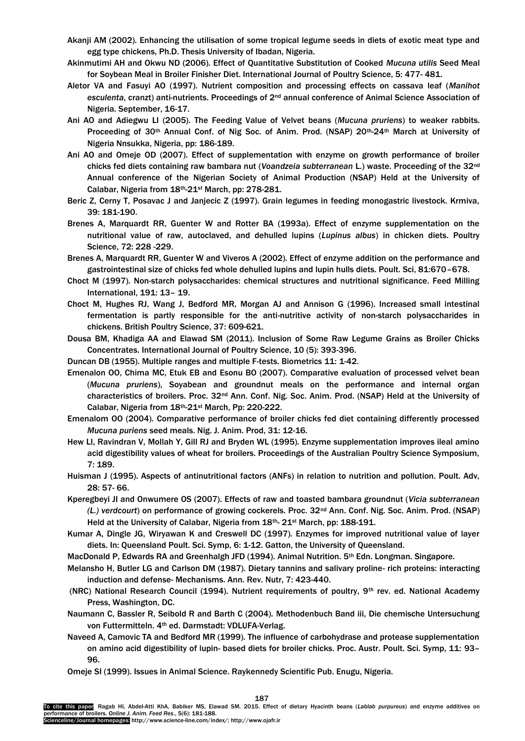- Akanji AM (2002). Enhancing the utilisation of some tropical legume seeds in diets of exotic meat type and egg type chickens, Ph.D. Thesis University of Ibadan, Nigeria.
- Akinmutimi AH and Okwu ND (2006). Effect of Quantitative Substitution of Cooked *Mucuna utilis* Seed Meal for Soybean Meal in Broiler Finisher Diet. International Journal of Poultry Science, 5: 477- 481.
- Aletor VA and Fasuyi AO (1997). Nutrient composition and processing effects on cassava leaf (*Manihot* esculenta, cranzt) anti-nutrients. Proceedings of 2<sup>nd</sup> annual conference of Animal Science Association of Nigeria. September, 16-17.
- Ani AO and Adiegwu LI (2005). The Feeding Value of Velvet beans (*Mucuna pruriens*) to weaker rabbits. Proceeding of 30<sup>th</sup> Annual Conf. of Nig Soc. of Anim. Prod. (NSAP) 20<sup>th</sup>-24<sup>th</sup> March at University of Nigeria Nnsukka, Nigeria, pp: 186-189.
- Ani AO and Omeje OD (2007). Effect of supplementation with enzyme on growth performance of broiler chicks fed diets containing raw bambara nut (*Voandzeia subterranean* L.) waste. Proceeding of the 32nd Annual conference of the Nigerian Society of Animal Production (NSAP) Held at the University of Calabar, Nigeria from 18th-21st March, pp: 278-281.
- Beric Z, Cerny T, Posavac J and Janjecic Z (1997). Grain legumes in feeding monogastric livestock. Krmiva, 39: 181-190.
- Brenes A, Marquardt RR, Guenter W and Rotter BA (1993a). Effect of enzyme supplementation on the nutritional value of raw, autoclaved, and dehulled lupins (*Lupinus albus*) in chicken diets. Poultry Science, 72: 228 -229.
- Brenes A, Marquardt RR, Guenter W and Viveros A (2002). Effect of enzyme addition on the performance and gastrointestinal size of chicks fed whole dehulled lupins and lupin hulls diets. Poult. Sci, 81:670–678.
- Choct M (1997). Non-starch polysaccharides: chemical structures and nutritional significance. Feed Milling International, 191: 13– 19.
- Choct M, Hughes RJ, Wang J, Bedford MR, Morgan AJ and Annison G (1996). Increased small intestinal fermentation is partly responsible for the anti-nutritive activity of non-starch polysaccharides in chickens. British Poultry Science, 37: 609-621.
- Dousa BM, Khadiga AA and Elawad SM (2011). Inclusion of Some Raw Legume Grains as Broiler Chicks Concentrates. International Journal of Poultry Science, 10 (5): 393-396.
- Duncan DB (1955). Multiple ranges and multiple F-tests. Biometrics 11: 1-42.
- Emenalon OO, Chima MC, Etuk EB and Esonu BO (2007). Comparative evaluation of processed velvet bean (*Mucuna pruriens*), Soyabean and groundnut meals on the performance and internal organ characteristics of broilers. Proc. 32<sup>nd</sup> Ann. Conf. Nig. Soc. Anim. Prod. (NSAP) Held at the University of Calabar, Nigeria from 18th-21st March, Pp: 220-222.
- Emenalom OO (2004). Comparative performance of broiler chicks fed diet containing differently processed *Mucuna puriens* seed meals. Nig. J. Anim. Prod, 31: 12-16.
- Hew LI, Ravindran V, Mollah Y, Gill RJ and Bryden WL (1995). Enzyme supplementation improves ileal amino acid digestibility values of wheat for broilers. Proceedings of the Australian Poultry Science Symposium, 7: 189.
- Huisman J (1995). Aspects of antinutritional factors (ANFs) in relation to nutrition and pollution. Poult. Adv, 28: 57- 66.
- Kperegbeyi JI and Onwumere OS (2007). Effects of raw and toasted bambara groundnut (*Vicia subterranean (L.) verdcourt*) on performance of growing cockerels. Proc. 32nd Ann. Conf. Nig. Soc. Anim. Prod. (NSAP) Held at the University of Calabar, Nigeria from 18<sup>th</sup>- 21<sup>st</sup> March, pp: 188-191.
- Kumar A, Dingle JG, Wiryawan K and Creswell DC (1997). Enzymes for improved nutritional value of layer diets. In: Queensland Poult. Sci. Symp, 6: 1-12. Gatton, the University of Queensland.
- MacDonald P, Edwards RA and Greenhalgh JFD (1994). Animal Nutrition. 5th Edn. Longman. Singapore.
- Melansho H, Butler LG and Carlson DM (1987). Dietary tannins and salivary proline- rich proteins: interacting induction and defense- Mechanisms. Ann. Rev. Nutr, 7: 423-440.
- (NRC) National Research Council (1994). Nutrient requirements of poultry, 9<sup>th</sup> rev. ed. National Academy Press, Washington, DC.
- Naumann C, Bassler R, Seibold R and Barth C (2004). Methodenbuch Band iii, Die chemische Untersuchung von Futtermitteln. 4<sup>th</sup> ed. Darmstadt: VDLUFA-Verlag.
- Naveed A, Camovic TA and Bedford MR (1999). The influence of carbohydrase and protease supplementation on amino acid digestibility of lupin- based diets for broiler chicks. Proc. Austr. Poult. Sci. Symp, 11: 93– 96.
- Omeje SI (1999). Issues in Animal Science. Raykennedy Scientific Pub. Enugu, Nigeria.